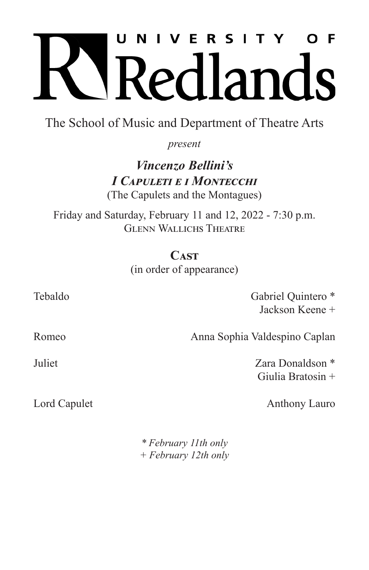# U N I V E R S I T Y O F Redlands

The School of Music and Department of Theatre Arts

*present*

## *Vincenzo Bellini's I Capuleti e i Montecchi* (The Capulets and the Montagues)

Friday and Saturday, February 11 and 12, 2022 - 7:30 p.m. Glenn Wallichs Theatre

> **Cast** (in order of appearance)

Tebaldo Gabriel Quintero \* Jackson Keene +

Romeo **Anna Sophia Valdespino Caplan** 

Juliet Zara Donaldson \* Giulia Bratosin +

Lord Capulet Anthony Lauro

*\* February 11th only + February 12th only*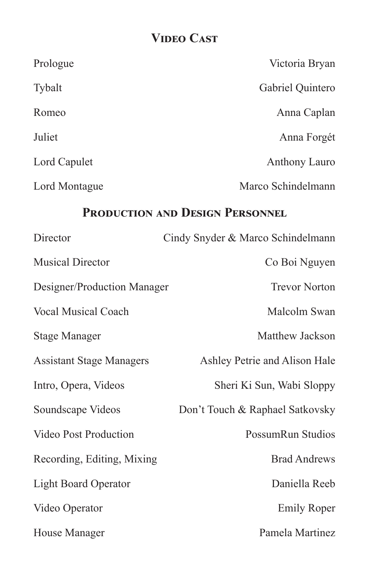# **Video Cast**

| Prologue                        | Victoria Bryan                    |
|---------------------------------|-----------------------------------|
| Tybalt                          | Gabriel Quintero                  |
| Romeo                           | Anna Caplan                       |
| Juliet                          | Anna Forgét                       |
| Lord Capulet                    | <b>Anthony Lauro</b>              |
| Lord Montague                   | Marco Schindelmann                |
| PRODUCTION AND DESIGN PERSONNEL |                                   |
| Director                        | Cindy Snyder & Marco Schindelmann |
| <b>Musical Director</b>         | Co Boi Nguyen                     |
| Designer/Production Manager     | <b>Trevor Norton</b>              |
| <b>Vocal Musical Coach</b>      | Malcolm Swan                      |
| <b>Stage Manager</b>            | Matthew Jackson                   |
| <b>Assistant Stage Managers</b> | Ashley Petrie and Alison Hale     |
| Intro, Opera, Videos            | Sheri Ki Sun, Wabi Sloppy         |
| Soundscape Videos               | Don't Touch & Raphael Satkovsky   |
| Video Post Production           | PossumRun Studios                 |
| Recording, Editing, Mixing      | <b>Brad Andrews</b>               |
| <b>Light Board Operator</b>     | Daniella Reeb                     |
| Video Operator                  | <b>Emily Roper</b>                |
| House Manager                   | Pamela Martinez                   |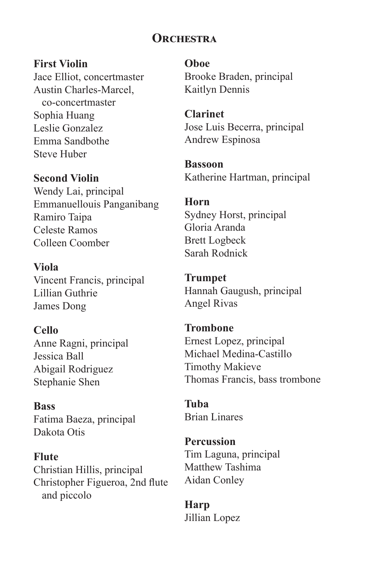## **Orchestra**

#### **First Violin**

Jace Elliot, concertmaster Austin Charles-Marcel, co-concertmaster Sophia Huang Leslie Gonzalez Emma Sandbothe Steve Huber

#### **Second Violin**

Wendy Lai, principal Emmanuellouis Panganibang Ramiro Taipa Celeste Ramos Colleen Coomber

**Viola** Vincent Francis, principal Lillian Guthrie James Dong

### **Cello**

Anne Ragni, principal Jessica Ball Abigail Rodriguez Stephanie Shen

**Bass** Fatima Baeza, principal Dakota Otis

**Flute** Christian Hillis, principal Christopher Figueroa, 2nd flute and piccolo

**Oboe** Brooke Braden, principal Kaitlyn Dennis

**Clarinet** Jose Luis Becerra, principal Andrew Espinosa

**Bassoon** Katherine Hartman, principal

#### **Horn**

Sydney Horst, principal Gloria Aranda Brett Logbeck Sarah Rodnick

**Trumpet** Hannah Gaugush, principal Angel Rivas

**Trombone** Ernest Lopez, principal Michael Medina-Castillo Timothy Makieve Thomas Francis, bass trombone

**Tuba** Brian Linares

**Percussion** Tim Laguna, principal Matthew Tashima Aidan Conley

**Harp** Jillian Lopez